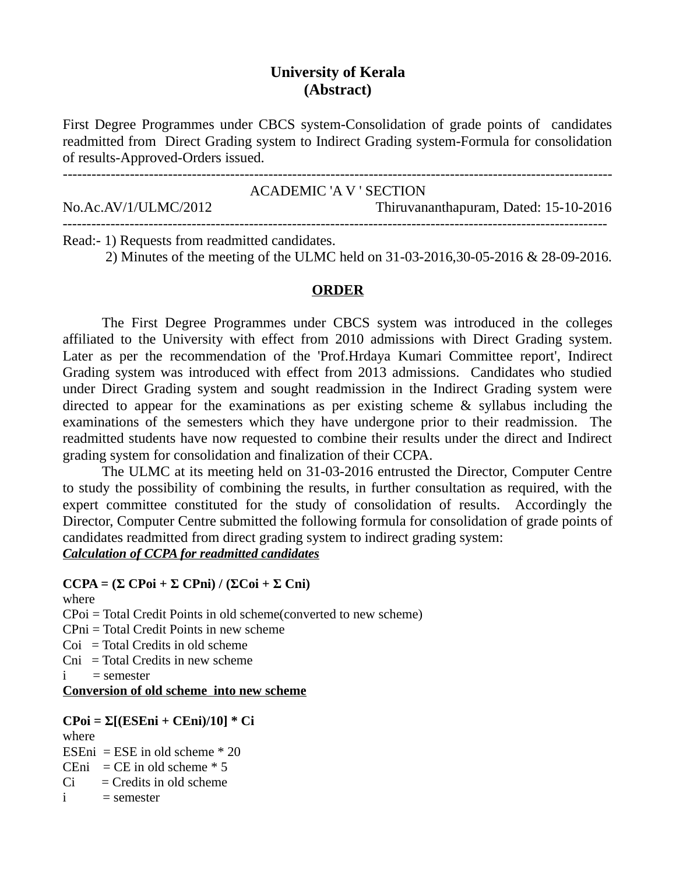## **University of Kerala (Abstract)**

First Degree Programmes under CBCS system-Consolidation of grade points of candidates readmitted from Direct Grading system to Indirect Grading system-Formula for consolidation of results-Approved-Orders issued.

| No.Ac.AV/1/ULMC/2012                                                                    | <b>ACADEMIC 'A V' SECTION</b><br>Thiruvananthapuram, Dated: 15-10-2016 |
|-----------------------------------------------------------------------------------------|------------------------------------------------------------------------|
| $\mathbf{r}$ is a set of $\mathbf{r}$ is a set of $\mathbf{r}$ is a set of $\mathbf{r}$ |                                                                        |

Read:- 1) Requests from readmitted candidates.

2) Minutes of the meeting of the ULMC held on 31-03-2016,30-05-2016 & 28-09-2016.

### **ORDER**

The First Degree Programmes under CBCS system was introduced in the colleges affiliated to the University with effect from 2010 admissions with Direct Grading system. Later as per the recommendation of the 'Prof.Hrdaya Kumari Committee report', Indirect Grading system was introduced with effect from 2013 admissions. Candidates who studied under Direct Grading system and sought readmission in the Indirect Grading system were directed to appear for the examinations as per existing scheme & syllabus including the examinations of the semesters which they have undergone prior to their readmission. The readmitted students have now requested to combine their results under the direct and Indirect grading system for consolidation and finalization of their CCPA.

The ULMC at its meeting held on 31-03-2016 entrusted the Director, Computer Centre to study the possibility of combining the results, in further consultation as required, with the expert committee constituted for the study of consolidation of results. Accordingly the Director, Computer Centre submitted the following formula for consolidation of grade points of candidates readmitted from direct grading system to indirect grading system: *Calculation of CCPA for readmitted candidates*

## **CCPA = (Σ CPoi + Σ CPni) / (ΣCoi + Σ Cni)**

where

CPoi = Total Credit Points in old scheme(converted to new scheme)

CPni = Total Credit Points in new scheme

- $Coi = Total Credits in old scheme$
- $Cni = Total Credits in new scheme$
- $i =$ semester

**Conversion of old scheme into new scheme**

### **CPoi = Σ[(ESEni + CEni)/10] \* Ci**

where

ESEni = ESE in old scheme  $*$  20

CEni = CE in old scheme  $*$  5

 $Ci = C$ redits in old scheme

```
i = semester
```